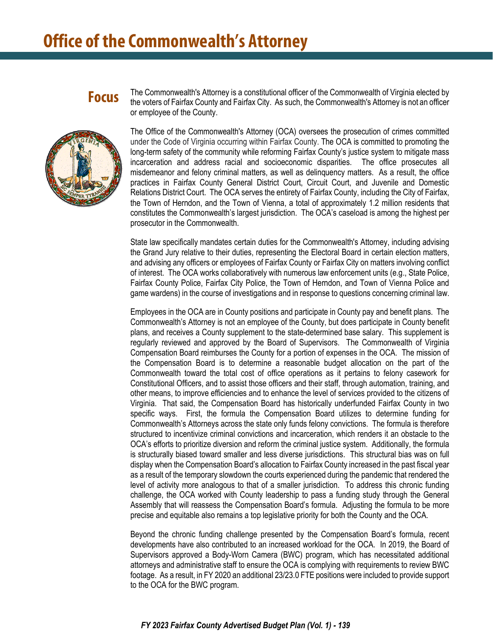### **Focus**

The Commonwealth's Attorney is a constitutional officer of the Commonwealth of Virginia elected by the voters of Fairfax County and Fairfax City. As such, the Commonwealth's Attorney is not an officer or employee of the County.

The Office of the Commonwealth's Attorney (OCA) oversees the prosecution of crimes committed under the Code of Virginia occurring within Fairfax County. The OCA is committed to promoting the long-term safety of the community while reforming Fairfax County's justice system to mitigate mass incarceration and address racial and socioeconomic disparities. The office prosecutes all misdemeanor and felony criminal matters, as well as delinquency matters. As a result, the office practices in Fairfax County General District Court, Circuit Court, and Juvenile and Domestic Relations District Court. The OCA serves the entirety of Fairfax County, including the City of Fairfax, the Town of Herndon, and the Town of Vienna, a total of approximately 1.2 million residents that constitutes the Commonwealth's largest jurisdiction. The OCA's caseload is among the highest per prosecutor in the Commonwealth.

State law specifically mandates certain duties for the Commonwealth's Attorney, including advising the Grand Jury relative to their duties, representing the Electoral Board in certain election matters, and advising any officers or employees of Fairfax County or Fairfax City on matters involving conflict of interest. The OCA works collaboratively with numerous law enforcement units (e.g., State Police, Fairfax County Police, Fairfax City Police, the Town of Herndon, and Town of Vienna Police and game wardens) in the course of investigations and in response to questions concerning criminal law.

Employees in the OCA are in County positions and participate in County pay and benefit plans. The Commonwealth's Attorney is not an employee of the County, but does participate in County benefit plans, and receives a County supplement to the state-determined base salary. This supplement is regularly reviewed and approved by the Board of Supervisors. The Commonwealth of Virginia Compensation Board reimburses the County for a portion of expenses in the OCA. The mission of the Compensation Board is to determine a reasonable budget allocation on the part of the Commonwealth toward the total cost of office operations as it pertains to felony casework for Constitutional Officers, and to assist those officers and their staff, through automation, training, and other means, to improve efficiencies and to enhance the level of services provided to the citizens of Virginia. That said, the Compensation Board has historically underfunded Fairfax County in two specific ways. First, the formula the Compensation Board utilizes to determine funding for Commonwealth's Attorneys across the state only funds felony convictions. The formula is therefore structured to incentivize criminal convictions and incarceration, which renders it an obstacle to the OCA's efforts to prioritize diversion and reform the criminal justice system. Additionally, the formula is structurally biased toward smaller and less diverse jurisdictions. This structural bias was on full display when the Compensation Board's allocation to Fairfax County increased in the past fiscal year as a result of the temporary slowdown the courts experienced during the pandemic that rendered the level of activity more analogous to that of a smaller jurisdiction. To address this chronic funding challenge, the OCA worked with County leadership to pass a funding study through the General Assembly that will reassess the Compensation Board's formula. Adjusting the formula to be more precise and equitable also remains a top legislative priority for both the County and the OCA.

Beyond the chronic funding challenge presented by the Compensation Board's formula, recent developments have also contributed to an increased workload for the OCA. In 2019, the Board of Supervisors approved a Body-Worn Camera (BWC) program, which has necessitated additional attorneys and administrative staff to ensure the OCA is complying with requirements to review BWC footage. As a result, in FY 2020 an additional 23/23.0 FTE positions were included to provide support to the OCA for the BWC program.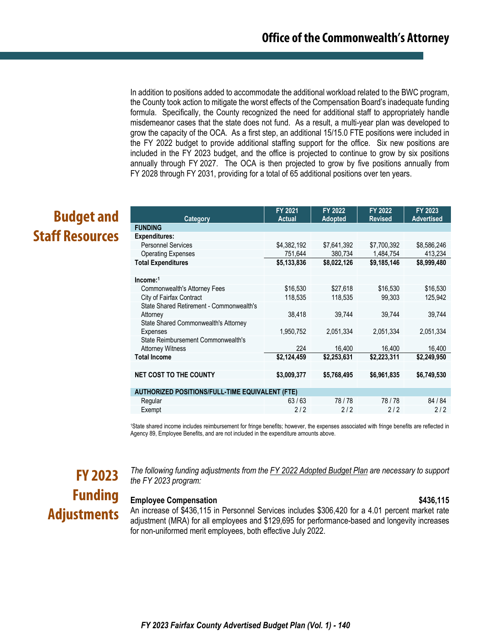In addition to positions added to accommodate the additional workload related to the BWC program, the County took action to mitigate the worst effects of the Compensation Board's inadequate funding formula. Specifically, the County recognized the need for additional staff to appropriately handle misdemeanor cases that the state does not fund. As a result, a multi-year plan was developed to grow the capacity of the OCA. As a first step, an additional 15/15.0 FTE positions were included in the FY 2022 budget to provide additional staffing support for the office. Six new positions are included in the FY 2023 budget, and the office is projected to continue to grow by six positions annually through FY 2027. The OCA is then projected to grow by five positions annually from FY 2028 through FY 2031, providing for a total of 65 additional positions over ten years.

## **Budget and Staff Resources**

| Category                                               | FY 2021<br><b>Actual</b> | FY 2022<br><b>Adopted</b> | FY 2022<br><b>Revised</b> | FY 2023<br><b>Advertised</b> |  |  |
|--------------------------------------------------------|--------------------------|---------------------------|---------------------------|------------------------------|--|--|
| <b>FUNDING</b>                                         |                          |                           |                           |                              |  |  |
| <b>Expenditures:</b>                                   |                          |                           |                           |                              |  |  |
| <b>Personnel Services</b>                              | \$4,382,192              | \$7,641,392               | \$7,700,392               | \$8,586,246                  |  |  |
| <b>Operating Expenses</b>                              | 751,644                  | 380,734                   | 1,484,754                 | 413,234                      |  |  |
| <b>Total Expenditures</b>                              | \$5,133,836              | \$8,022,126               | \$9,185,146               | \$8,999,480                  |  |  |
|                                                        |                          |                           |                           |                              |  |  |
| Income:1                                               |                          |                           |                           |                              |  |  |
| Commonwealth's Attorney Fees                           | \$16,530                 | \$27,618                  | \$16,530                  | \$16,530                     |  |  |
| City of Fairfax Contract                               | 118,535                  | 118,535                   | 99,303                    | 125,942                      |  |  |
| State Shared Retirement - Commonwealth's               |                          |                           |                           |                              |  |  |
| Attorney                                               | 38,418                   | 39,744                    | 39,744                    | 39,744                       |  |  |
| <b>State Shared Commonwealth's Attorney</b>            |                          |                           |                           |                              |  |  |
| Expenses                                               | 1,950,752                | 2,051,334                 | 2,051,334                 | 2,051,334                    |  |  |
| State Reimbursement Commonwealth's                     |                          |                           |                           |                              |  |  |
| <b>Attorney Witness</b>                                | 224                      | 16,400                    | 16,400                    | 16,400                       |  |  |
| <b>Total Income</b>                                    | \$2,124,459              | \$2,253,631               | \$2,223,311               | \$2,249,950                  |  |  |
|                                                        |                          |                           |                           |                              |  |  |
| <b>NET COST TO THE COUNTY</b>                          | \$3,009,377              | \$5,768,495               | \$6,961,835               | \$6,749,530                  |  |  |
|                                                        |                          |                           |                           |                              |  |  |
| <b>AUTHORIZED POSITIONS/FULL-TIME EQUIVALENT (FTE)</b> |                          |                           |                           |                              |  |  |
| Regular                                                | 63/63                    | 78/78                     | 78/78                     | 84 / 84                      |  |  |
| Exempt                                                 | 2/2                      | 2/2                       | 2/2                       | 2/2                          |  |  |

1State shared income includes reimbursement for fringe benefits; however, the expenses associated with fringe benefits are reflected in Agency 89, Employee Benefits, and are not included in the expenditure amounts above.

## **FY 2023 Funding Adjustments**

*The following funding adjustments from the FY 2022 Adopted Budget Plan are necessary to support the FY 2023 program:*

### **Employee Compensation 6436,115**

An increase of \$436,115 in Personnel Services includes \$306,420 for a 4.01 percent market rate adjustment (MRA) for all employees and \$129,695 for performance-based and longevity increases for non-uniformed merit employees, both effective July 2022.